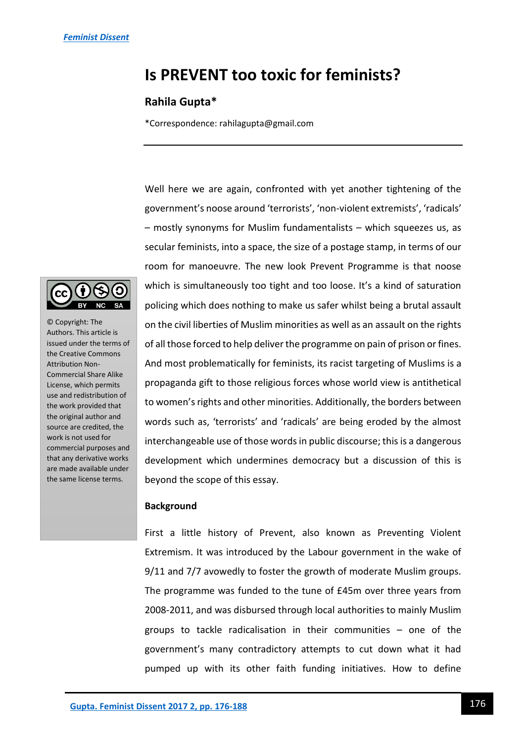# **Is PREVENT too toxic for feminists?**

# **Rahila Gupta\***

\*Correspondence: rahilagupta@gmail.com

Well here we are again, confronted with yet another tightening of the government's noose around 'terrorists', 'non-violent extremists', 'radicals' – mostly synonyms for Muslim fundamentalists – which squeezes us, as secular feminists, into a space, the size of a postage stamp, in terms of our room for manoeuvre. The new look Prevent Programme is that noose which is simultaneously too tight and too loose. It's a kind of saturation policing which does nothing to make us safer whilst being a brutal assault on the civil liberties of Muslim minorities as well as an assault on the rights of all those forced to help deliver the programme on pain of prison or fines. And most problematically for feminists, its racist targeting of Muslims is a propaganda gift to those religious forces whose world view is antithetical to women's rights and other minorities. Additionally, the borders between words such as, 'terrorists' and 'radicals' are being eroded by the almost interchangeable use of those words in public discourse; this is a dangerous development which undermines democracy but a discussion of this is beyond the scope of this essay.

### **Background**

First a little history of Prevent, also known as Preventing Violent Extremism. It was introduced by the Labour government in the wake of 9/11 and 7/7 avowedly to foster the growth of moderate Muslim groups. The programme was funded to the tune of £45m over three years from 2008-2011, and was disbursed through local authorities to mainly Muslim groups to tackle radicalisation in their communities – one of the government's many contradictory attempts to cut down what it had pumped up with its other faith funding initiatives. How to define



© Copyright: The Authors. This article is issued under the terms of the Creative Commons Attribution Non-Commercial Share Alike License, which permits use and redistribution of the work provided that the original author and source are credited, the work is not used for commercial purposes and that any derivative works are made available under the same license terms.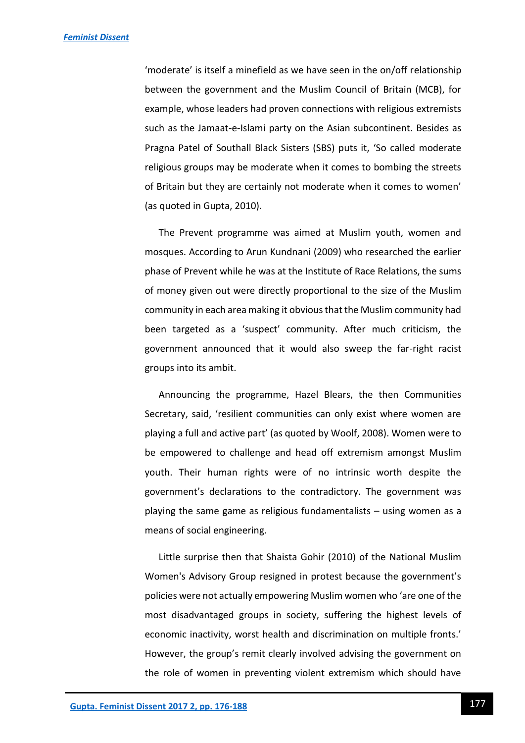'moderate' is itself a minefield as we have seen in the on/off relationship between the government and the Muslim Council of Britain (MCB), for example, whose leaders had proven connections with religious extremists such as the Jamaat-e-Islami party on the Asian subcontinent. Besides as Pragna Patel of Southall Black Sisters (SBS) puts it, 'So called moderate religious groups may be moderate when it comes to bombing the streets of Britain but they are certainly not moderate when it comes to women' (as quoted in Gupta, 2010).

The Prevent programme was aimed at Muslim youth, women and mosques. According to Arun Kundnani (2009) who researched the earlier phase of Prevent while he was at the Institute of Race Relations, the sums of money given out were directly proportional to the size of the Muslim community in each area making it obvious that the Muslim community had been targeted as a 'suspect' community. After much criticism, the government announced that it would also sweep the far-right racist groups into its ambit.

Announcing the programme, Hazel Blears, the then Communities Secretary, said, 'resilient communities can only exist where women are playing a full and active part' (as quoted by Woolf, 2008). Women were to be empowered to challenge and head off extremism amongst Muslim youth. Their human rights were of no intrinsic worth despite the government's declarations to the contradictory. The government was playing the same game as religious fundamentalists – using women as a means of social engineering.

Little surprise then that Shaista Gohir (2010) of the National Muslim Women's Advisory Group resigned in protest because the government's policies were not actually empowering Muslim women who 'are one of the most disadvantaged groups in society, suffering the highest levels of economic inactivity, worst health and discrimination on multiple fronts.' However, the group's remit clearly involved advising the government on the role of women in preventing violent extremism which should have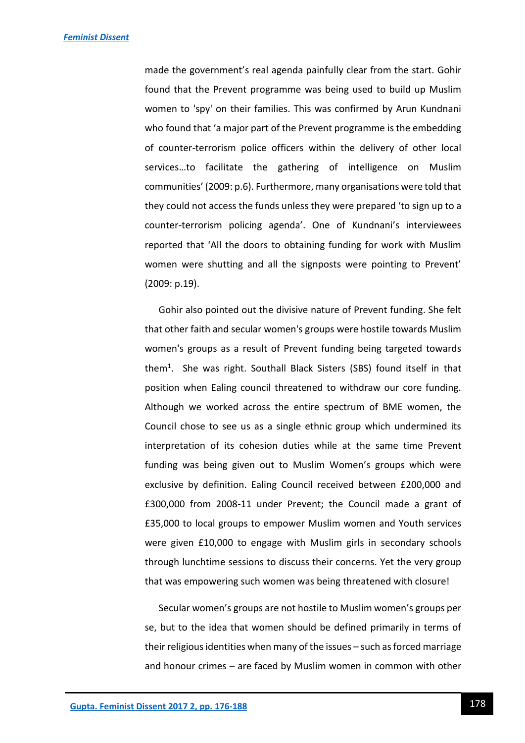made the government's real agenda painfully clear from the start. Gohir found that the Prevent programme was being used to build up Muslim women to 'spy' on their families. This was confirmed by Arun Kundnani who found that 'a major part of the Prevent programme is the embedding of counter-terrorism police officers within the delivery of other local services…to facilitate the gathering of intelligence on Muslim communities' (2009: p.6). Furthermore, many organisations were told that they could not access the funds unless they were prepared 'to sign up to a counter-terrorism policing agenda'. One of Kundnani's interviewees reported that 'All the doors to obtaining funding for work with Muslim women were shutting and all the signposts were pointing to Prevent' (2009: p.19).

Gohir also pointed out the divisive nature of Prevent funding. She felt that other faith and secular women's groups were hostile towards Muslim women's groups as a result of Prevent funding being targeted towards them<sup>1</sup> . She was right. Southall Black Sisters (SBS) found itself in that position when Ealing council threatened to withdraw our core funding. Although we worked across the entire spectrum of BME women, the Council chose to see us as a single ethnic group which undermined its interpretation of its cohesion duties while at the same time Prevent funding was being given out to Muslim Women's groups which were exclusive by definition. Ealing Council received between £200,000 and £300,000 from 2008-11 under Prevent; the Council made a grant of £35,000 to local groups to empower Muslim women and Youth services were given £10,000 to engage with Muslim girls in secondary schools through lunchtime sessions to discuss their concerns. Yet the very group that was empowering such women was being threatened with closure!

Secular women's groups are not hostile to Muslim women's groups per se, but to the idea that women should be defined primarily in terms of their religious identities when many of the issues – such as forced marriage and honour crimes – are faced by Muslim women in common with other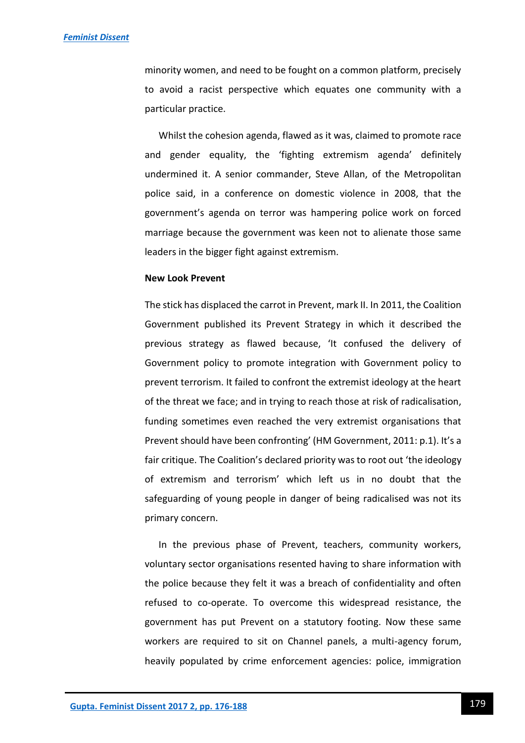minority women, and need to be fought on a common platform, precisely to avoid a racist perspective which equates one community with a particular practice.

Whilst the cohesion agenda, flawed as it was, claimed to promote race and gender equality, the 'fighting extremism agenda' definitely undermined it. A senior commander, Steve Allan, of the Metropolitan police said, in a conference on domestic violence in 2008, that the government's agenda on terror was hampering police work on forced marriage because the government was keen not to alienate those same leaders in the bigger fight against extremism.

#### **New Look Prevent**

The stick has displaced the carrot in Prevent, mark II. In 2011, the Coalition Government published its Prevent Strategy in which it described the previous strategy as flawed because, 'It confused the delivery of Government policy to promote integration with Government policy to prevent terrorism. It failed to confront the extremist ideology at the heart of the threat we face; and in trying to reach those at risk of radicalisation, funding sometimes even reached the very extremist organisations that Prevent should have been confronting' (HM Government, 2011: p.1). It's a fair critique. The Coalition's declared priority was to root out 'the ideology of extremism and terrorism' which left us in no doubt that the safeguarding of young people in danger of being radicalised was not its primary concern.

In the previous phase of Prevent, teachers, community workers, voluntary sector organisations resented having to share information with the police because they felt it was a breach of confidentiality and often refused to co-operate. To overcome this widespread resistance, the government has put Prevent on a statutory footing. Now these same workers are required to sit on Channel panels, a multi-agency forum, heavily populated by crime enforcement agencies: police, immigration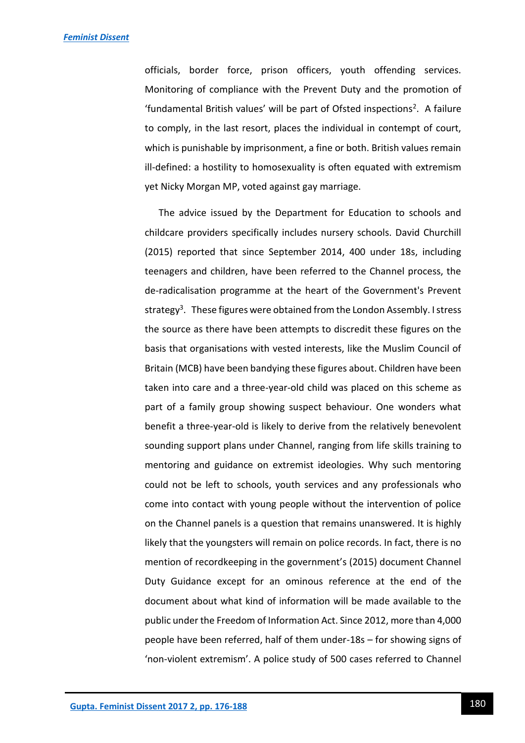officials, border force, prison officers, youth offending services. Monitoring of compliance with the Prevent Duty and the promotion of 'fundamental British values' will be part of Ofsted inspections<sup>2</sup>. A failure to comply, in the last resort, places the individual in contempt of court, which is punishable by imprisonment, a fine or both. British values remain ill-defined: a hostility to homosexuality is often equated with extremism yet Nicky Morgan MP, voted against gay marriage.

The advice issued by the Department for Education to schools and childcare providers specifically includes nursery schools. David Churchill (2015) reported that since September 2014, 400 under 18s, including teenagers and children, have been referred to the Channel process, the de-radicalisation programme at the heart of the Government's Prevent strategy<sup>3</sup>. These figures were obtained from the London Assembly. I stress the source as there have been attempts to discredit these figures on the basis that organisations with vested interests, like the Muslim Council of Britain (MCB) have been bandying these figures about. Children have been taken into care and a three-year-old child was placed on this scheme as part of a family group showing suspect behaviour. One wonders what benefit a three-year-old is likely to derive from the relatively benevolent sounding support plans under Channel, ranging from life skills training to mentoring and guidance on extremist ideologies. Why such mentoring could not be left to schools, youth services and any professionals who come into contact with young people without the intervention of police on the Channel panels is a question that remains unanswered. It is highly likely that the youngsters will remain on police records. In fact, there is no mention of recordkeeping in the government's (2015) document Channel Duty Guidance except for an ominous reference at the end of the document about what kind of information will be made available to the public under the Freedom of Information Act. Since 2012, more than 4,000 people have been referred, half of them under-18s – for showing signs of 'non-violent extremism'. A police study of 500 cases referred to Channel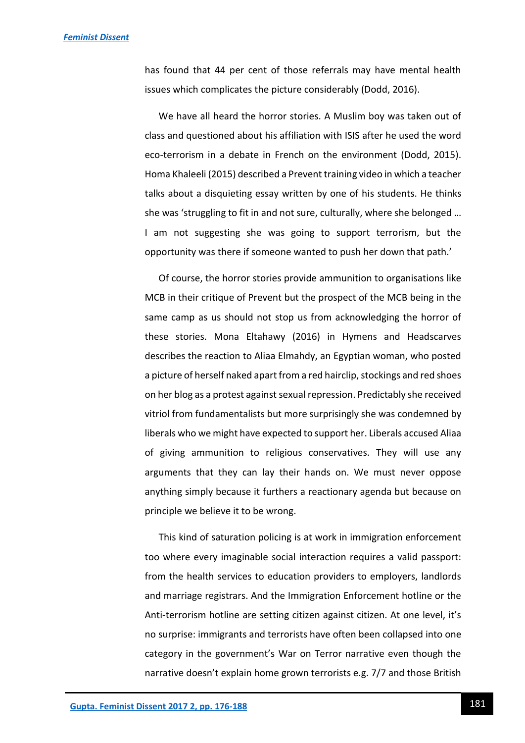has found that 44 per cent of those referrals may have mental health issues which complicates the picture considerably (Dodd, 2016).

We have all heard the horror stories. A Muslim boy was taken out of class and questioned about his affiliation with ISIS after he used the word eco-terrorism in a debate in French on the environment (Dodd, 2015). Homa Khaleeli (2015) described a Prevent training video in which a teacher talks about a disquieting essay written by one of his students. He thinks she was 'struggling to fit in and not sure, culturally, where she belonged … I am not suggesting she was going to support terrorism, but the opportunity was there if someone wanted to push her down that path.'

Of course, the horror stories provide ammunition to organisations like MCB in their critique of Prevent but the prospect of the MCB being in the same camp as us should not stop us from acknowledging the horror of these stories. Mona Eltahawy (2016) in Hymens and Headscarves describes the reaction to Aliaa Elmahdy, an Egyptian woman, who posted a picture of herself naked apart from a red hairclip, stockings and red shoes on her blog as a protest against sexual repression. Predictably she received vitriol from fundamentalists but more surprisingly she was condemned by liberals who we might have expected to support her. Liberals accused Aliaa of giving ammunition to religious conservatives. They will use any arguments that they can lay their hands on. We must never oppose anything simply because it furthers a reactionary agenda but because on principle we believe it to be wrong.

This kind of saturation policing is at work in immigration enforcement too where every imaginable social interaction requires a valid passport: from the health services to education providers to employers, landlords and marriage registrars. And the Immigration Enforcement hotline or the Anti-terrorism hotline are setting citizen against citizen. At one level, it's no surprise: immigrants and terrorists have often been collapsed into one category in the government's War on Terror narrative even though the narrative doesn't explain home grown terrorists e.g. 7/7 and those British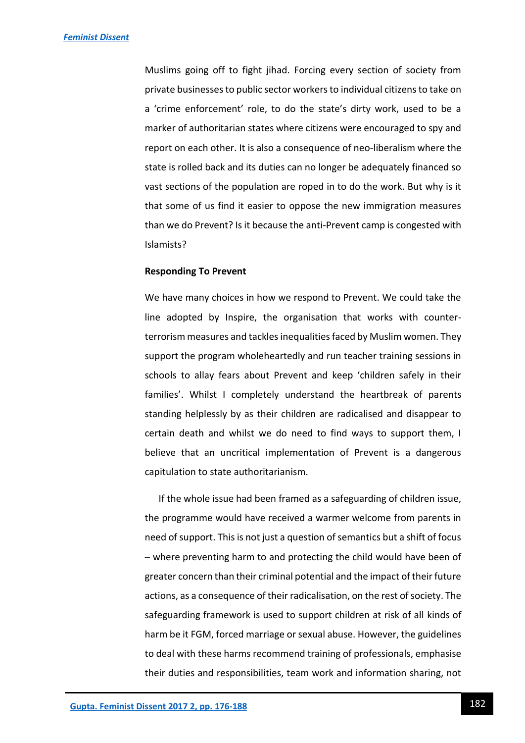Muslims going off to fight jihad. Forcing every section of society from private businesses to public sector workers to individual citizens to take on a 'crime enforcement' role, to do the state's dirty work, used to be a marker of authoritarian states where citizens were encouraged to spy and report on each other. It is also a consequence of neo-liberalism where the state is rolled back and its duties can no longer be adequately financed so vast sections of the population are roped in to do the work. But why is it that some of us find it easier to oppose the new immigration measures than we do Prevent? Is it because the anti-Prevent camp is congested with Islamists?

#### **Responding To Prevent**

We have many choices in how we respond to Prevent. We could take the line adopted by Inspire, the organisation that works with counterterrorism measures and tackles inequalities faced by Muslim women. They support the program wholeheartedly and run teacher training sessions in schools to allay fears about Prevent and keep 'children safely in their families'. Whilst I completely understand the heartbreak of parents standing helplessly by as their children are radicalised and disappear to certain death and whilst we do need to find ways to support them, I believe that an uncritical implementation of Prevent is a dangerous capitulation to state authoritarianism.

If the whole issue had been framed as a safeguarding of children issue, the programme would have received a warmer welcome from parents in need of support. This is not just a question of semantics but a shift of focus – where preventing harm to and protecting the child would have been of greater concern than their criminal potential and the impact of their future actions, as a consequence of their radicalisation, on the rest of society. The safeguarding framework is used to support children at risk of all kinds of harm be it FGM, forced marriage or sexual abuse. However, the guidelines to deal with these harms recommend training of professionals, emphasise their duties and responsibilities, team work and information sharing, not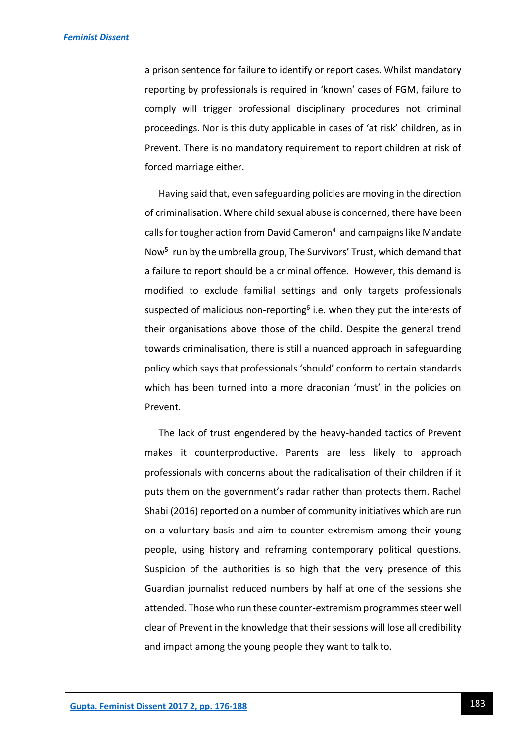a prison sentence for failure to identify or report cases. Whilst mandatory reporting by professionals is required in 'known' cases of FGM, failure to comply will trigger professional disciplinary procedures not criminal proceedings. Nor is this duty applicable in cases of 'at risk' children, as in Prevent. There is no mandatory requirement to report children at risk of forced marriage either.

Having said that, even safeguarding policies are moving in the direction of criminalisation. Where child sexual abuse is concerned, there have been calls for tougher action from David Cameron<sup>4</sup> and campaigns like Mandate Now<sup>5</sup> run by the umbrella group, The Survivors' Trust, which demand that a failure to report should be a criminal offence. However, this demand is modified to exclude familial settings and only targets professionals suspected of malicious non-reporting<sup>6</sup> i.e. when they put the interests of their organisations above those of the child. Despite the general trend towards criminalisation, there is still a nuanced approach in safeguarding policy which says that professionals 'should' conform to certain standards which has been turned into a more draconian 'must' in the policies on Prevent.

The lack of trust engendered by the heavy-handed tactics of Prevent makes it counterproductive. Parents are less likely to approach professionals with concerns about the radicalisation of their children if it puts them on the government's radar rather than protects them. Rachel Shabi (2016) reported on a number of community initiatives which are run on a voluntary basis and aim to counter extremism among their young people, using history and reframing contemporary political questions. Suspicion of the authorities is so high that the very presence of this Guardian journalist reduced numbers by half at one of the sessions she attended. Those who run these counter-extremism programmes steer well clear of Prevent in the knowledge that their sessions will lose all credibility and impact among the young people they want to talk to.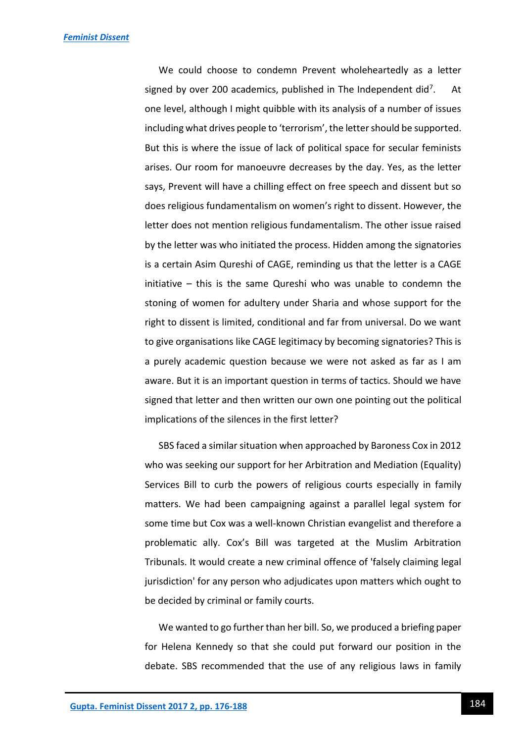We could choose to condemn Prevent wholeheartedly as a letter signed by over 200 academics, published in The Independent did<sup>7</sup>. . At one level, although I might quibble with its analysis of a number of issues including what drives people to 'terrorism', the letter should be supported. But this is where the issue of lack of political space for secular feminists arises. Our room for manoeuvre decreases by the day. Yes, as the letter says, Prevent will have a chilling effect on free speech and dissent but so does religious fundamentalism on women's right to dissent. However, the letter does not mention religious fundamentalism. The other issue raised by the letter was who initiated the process. Hidden among the signatories is a certain Asim Qureshi of CAGE, reminding us that the letter is a CAGE initiative – this is the same Qureshi who was unable to condemn the stoning of women for adultery under Sharia and whose support for the right to dissent is limited, conditional and far from universal. Do we want to give organisations like CAGE legitimacy by becoming signatories? This is a purely academic question because we were not asked as far as I am aware. But it is an important question in terms of tactics. Should we have signed that letter and then written our own one pointing out the political implications of the silences in the first letter?

SBS faced a similar situation when approached by Baroness Cox in 2012 who was seeking our support for her Arbitration and Mediation (Equality) Services Bill to curb the powers of religious courts especially in family matters. We had been campaigning against a parallel legal system for some time but Cox was a well-known Christian evangelist and therefore a problematic ally. Cox's Bill was targeted at the Muslim Arbitration Tribunals. It would create a new criminal offence of 'falsely claiming legal jurisdiction' for any person who adjudicates upon matters which ought to be decided by criminal or family courts.

We wanted to go further than her bill. So, we produced a briefing paper for Helena Kennedy so that she could put forward our position in the debate. SBS recommended that the use of any religious laws in family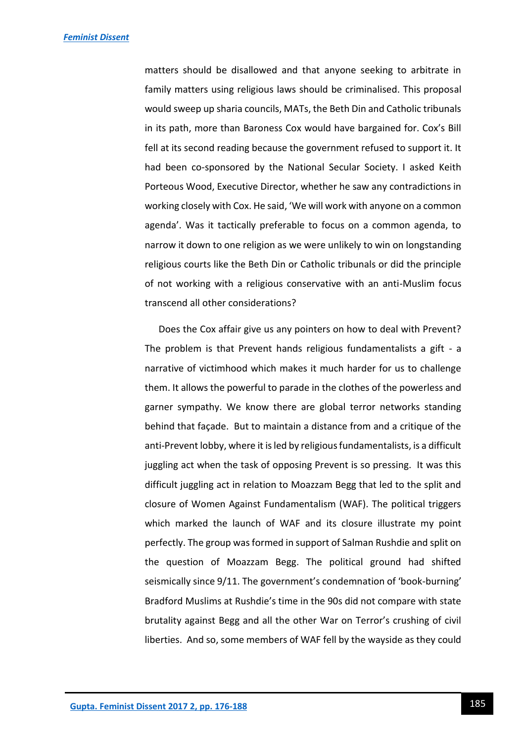matters should be disallowed and that anyone seeking to arbitrate in family matters using religious laws should be criminalised. This proposal would sweep up sharia councils, MATs, the Beth Din and Catholic tribunals in its path, more than Baroness Cox would have bargained for. Cox's Bill fell at its second reading because the government refused to support it. It had been co-sponsored by the National Secular Society. I asked Keith Porteous Wood, Executive Director, whether he saw any contradictions in working closely with Cox. He said, 'We will work with anyone on a common agenda'. Was it tactically preferable to focus on a common agenda, to narrow it down to one religion as we were unlikely to win on longstanding religious courts like the Beth Din or Catholic tribunals or did the principle of not working with a religious conservative with an anti-Muslim focus transcend all other considerations?

Does the Cox affair give us any pointers on how to deal with Prevent? The problem is that Prevent hands religious fundamentalists a gift - a narrative of victimhood which makes it much harder for us to challenge them. It allows the powerful to parade in the clothes of the powerless and garner sympathy. We know there are global terror networks standing behind that façade. But to maintain a distance from and a critique of the anti-Prevent lobby, where it is led by religious fundamentalists, is a difficult juggling act when the task of opposing Prevent is so pressing. It was this difficult juggling act in relation to Moazzam Begg that led to the split and closure of Women Against Fundamentalism (WAF). The political triggers which marked the launch of WAF and its closure illustrate my point perfectly. The group was formed in support of Salman Rushdie and split on the question of Moazzam Begg. The political ground had shifted seismically since 9/11. The government's condemnation of 'book-burning' Bradford Muslims at Rushdie's time in the 90s did not compare with state brutality against Begg and all the other War on Terror's crushing of civil liberties. And so, some members of WAF fell by the wayside as they could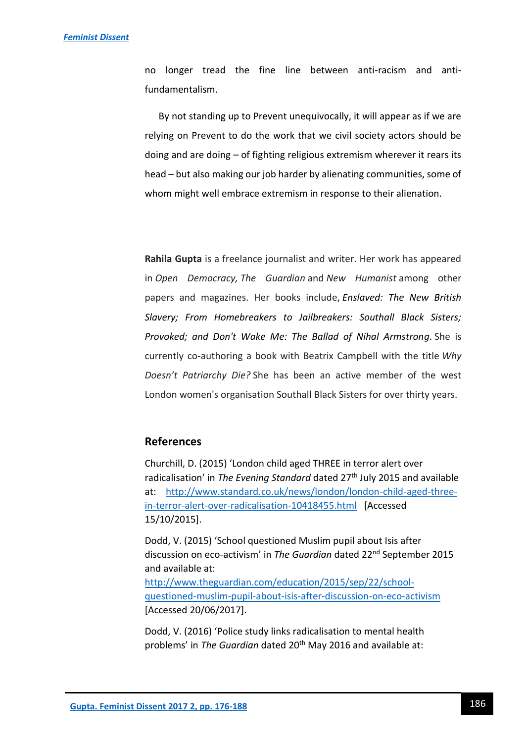no longer tread the fine line between anti-racism and antifundamentalism.

By not standing up to Prevent unequivocally, it will appear as if we are relying on Prevent to do the work that we civil society actors should be doing and are doing – of fighting religious extremism wherever it rears its head – but also making our job harder by alienating communities, some of whom might well embrace extremism in response to their alienation.

**Rahila Gupta** is a freelance journalist and writer. Her work has appeared in *Open Democracy, The Guardian* and *New Humanist* among other papers and magazines. Her books include, *Enslaved: The New British Slavery; From Homebreakers to Jailbreakers: Southall Black Sisters; Provoked; and Don't Wake Me: The Ballad of Nihal Armstrong*. She is currently co-authoring a book with Beatrix Campbell with the title *Why Doesn't Patriarchy Die?* She has been an active member of the west London women's organisation Southall Black Sisters for over thirty years.

# **References**

Churchill, D. (2015) 'London child aged THREE in terror alert over radicalisation' in *The Evening Standard* dated 27<sup>th</sup> July 2015 and available at: [http://www.standard.co.uk/news/london/london-child-aged-three](http://www.standard.co.uk/news/london/london-child-aged-three-in-terror-alert-over-radicalisation-10418455.html)[in-terror-alert-over-radicalisation-10418455.html](http://www.standard.co.uk/news/london/london-child-aged-three-in-terror-alert-over-radicalisation-10418455.html) [Accessed 15/10/2015].

Dodd, V. (2015) 'School questioned Muslim pupil about Isis after discussion on eco-activism' in *The Guardian* dated 22nd September 2015 and available at:

[http://www.theguardian.com/education/2015/sep/22/school](http://www.theguardian.com/education/2015/sep/22/school-questioned-muslim-pupil-about-isis-after-discussion-on-eco-activism)[questioned-muslim-pupil-about-isis-after-discussion-on-eco-activism](http://www.theguardian.com/education/2015/sep/22/school-questioned-muslim-pupil-about-isis-after-discussion-on-eco-activism) [Accessed 20/06/2017].

Dodd, V. (2016) 'Police study links radicalisation to mental health problems' in *The Guardian* dated 20<sup>th</sup> May 2016 and available at: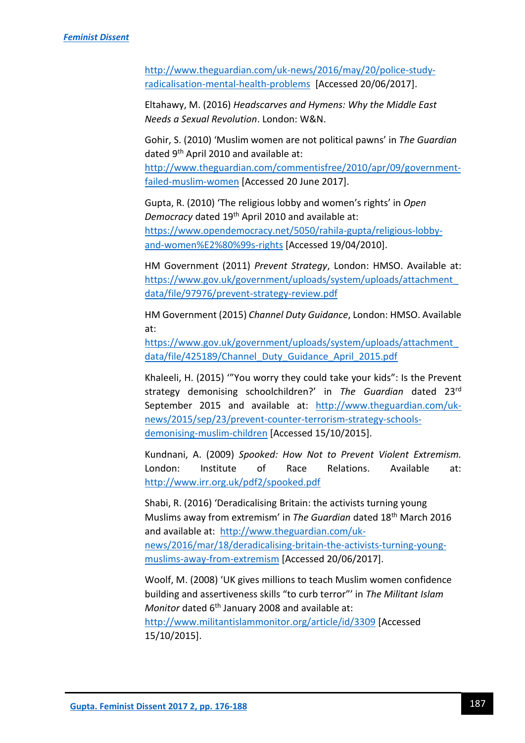[http://www.theguardian.com/uk-news/2016/may/20/police-study](http://www.theguardian.com/uk-news/2016/may/20/police-study-radicalisation-mental-health-problems)[radicalisation-mental-health-problems](http://www.theguardian.com/uk-news/2016/may/20/police-study-radicalisation-mental-health-problems) [Accessed 20/06/2017].

Eltahawy, M. (2016) *Headscarves and Hymens: Why the Middle East Needs a Sexual Revolution*. London: W&N.

Gohir, S. (2010) 'Muslim women are not political pawns' in *The Guardian* dated 9th April 2010 and available at:

[http://www.theguardian.com/commentisfree/2010/apr/09/government](http://www.theguardian.com/commentisfree/2010/apr/09/government-failed-muslim-women)[failed-muslim-women](http://www.theguardian.com/commentisfree/2010/apr/09/government-failed-muslim-women) [Accessed 20 June 2017].

Gupta, R. (2010) 'The religious lobby and women's rights' in *Open Democracy* dated 19th April 2010 and available at: [https://www.opendemocracy.net/5050/rahila-gupta/religious-lobby](https://www.opendemocracy.net/5050/rahila-gupta/religious-lobby-and-women%E2%80%99s-rights)[and-women%E2%80%99s-rights](https://www.opendemocracy.net/5050/rahila-gupta/religious-lobby-and-women%E2%80%99s-rights) [Accessed 19/04/2010].

HM Government (2011) *Prevent Strategy*, London: HMSO. Available at: [https://www.gov.uk/government/uploads/system/uploads/attachment\\_](https://www.gov.uk/government/uploads/system/uploads/attachment_data/file/97976/prevent-strategy-review.pdf) [data/file/97976/prevent-strategy-review.pdf](https://www.gov.uk/government/uploads/system/uploads/attachment_data/file/97976/prevent-strategy-review.pdf)

HM Government (2015) *Channel Duty Guidance*, London: HMSO. Available at:

[https://www.gov.uk/government/uploads/system/uploads/attachment\\_](https://www.gov.uk/government/uploads/system/uploads/attachment_data/file/425189/Channel_Duty_Guidance_April_2015.pdf) [data/file/425189/Channel\\_Duty\\_Guidance\\_April\\_2015.pdf](https://www.gov.uk/government/uploads/system/uploads/attachment_data/file/425189/Channel_Duty_Guidance_April_2015.pdf)

Khaleeli, H. (2015) '"You worry they could take your kids": Is the Prevent strategy demonising schoolchildren?' in *The Guardian* dated 23rd September 2015 and available at: [http://www.theguardian.com/uk](http://www.theguardian.com/uk-news/2015/sep/23/prevent-counter-terrorism-strategy-schools-demonising-muslim-children)[news/2015/sep/23/prevent-counter-terrorism-strategy-schools](http://www.theguardian.com/uk-news/2015/sep/23/prevent-counter-terrorism-strategy-schools-demonising-muslim-children)[demonising-muslim-children](http://www.theguardian.com/uk-news/2015/sep/23/prevent-counter-terrorism-strategy-schools-demonising-muslim-children) [Accessed 15/10/2015].

Kundnani, A. (2009) *Spooked: How Not to Prevent Violent Extremism.* London: Institute of Race Relations. Available at: <http://www.irr.org.uk/pdf2/spooked.pdf>

Shabi, R. (2016) 'Deradicalising Britain: the activists turning young Muslims away from extremism' in *The Guardian* dated 18th March 2016 and available at: [http://www.theguardian.com/uk](http://www.theguardian.com/uk-news/2016/mar/18/deradicalising-britain-the-activists-turning-young-muslims-away-from-extremism)[news/2016/mar/18/deradicalising-britain-the-activists-turning-young](http://www.theguardian.com/uk-news/2016/mar/18/deradicalising-britain-the-activists-turning-young-muslims-away-from-extremism)[muslims-away-from-extremism](http://www.theguardian.com/uk-news/2016/mar/18/deradicalising-britain-the-activists-turning-young-muslims-away-from-extremism) [Accessed 20/06/2017].

Woolf, M. (2008) 'UK gives millions to teach Muslim women confidence building and assertiveness skills "to curb terror"' in *The Militant Islam Monitor* dated 6<sup>th</sup> January 2008 and available at:

<http://www.militantislammonitor.org/article/id/3309> [Accessed 15/10/2015].